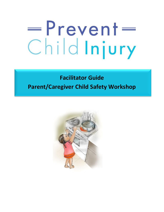# =Prevent= ChildInjury

# **Facilitator Guide Parent/Caregiver Child Safety Workshop**

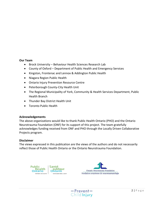#### **Our Team**

- Brock University Behaviour Health Sciences Research Lab
- County of Oxford Department of Public Health and Emergency Services
- Kingston, Frontenac and Lennox & Addington Public Health
- Niagara Region Public Health
- Ontario Injury Prevention Resource Centre
- Peterborough County-City Health Unit
- The Regional Municipality of York, Community & Health Services Department, Public Health Branch
- Thunder Bay District Health Unit
- Toronto Public Health

#### **Acknowledgements**

The above organizations would like to thank Public Health Ontario (PHO) and the Ontario Neurotrauma Foundation (ONF) for its support of this project. The team gratefully acknowledges funding received from ONF and PHO through the Locally Driven Collaborative Projects program.

#### **Disclaimer**

The views expressed in this publication are the views of the authors and do not necessarily reflect those of Public Health Ontario or the Ontario Neurotrauma Foundation.





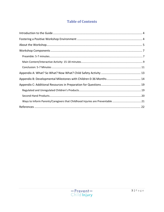# **Table of Contents**

| Ways to Inform Parents/Caregivers that Childhood Injuries are Preventable 21 |  |
|------------------------------------------------------------------------------|--|
|                                                                              |  |

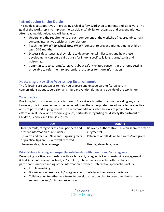# <span id="page-3-0"></span>**Introduction to the Guide**

This guide is to support you in providing a Child Safety Workshop to parents and caregivers. The goal of the workshop is to improve the participants' ability to recognize and prevent injuries. After reading this guide, you will be able to:

- Understand the requirements of each component of the workshop (i.e. preamble, main content/interactive activity and conclusion)
- Teach the **"What? So What? Now What?"** concept to prevent injuries among children ages 0-36 months
- Discuss safety issues as they relate to developmental milestones and how these developments can put a child at risk for injury, specifically falls, burns/scalds and poisonings
- Communicate to parents/caregivers about safety-related concerns in the home setting or be able to refer them to appropriate resources for more information

## <span id="page-3-1"></span>**Fostering a Positive Workshop Environment**

The following are strategies to help you prepare and engage parents/caregivers in conversations about supervision and injury prevention during and outside of the workshop.

#### **Tone of voice**

Providing information and advice to parents/caregivers is better than not providing any at all. However, this information must be delivered using the appropriate tone of voice to be effective and not perceived as judgmental. The recommendations listed below are proven to be effective in all social and economic groups, particularly regarding child safety (Department of Children, Schools and Families, 2009).

| <b>DOs</b>                                                                                    | <b>DON'Ts</b>                                                     |
|-----------------------------------------------------------------------------------------------|-------------------------------------------------------------------|
| Treat parents/caregivers as equal partners and<br>present information as reminders.           | Be overly authoritative. This can seem critical or<br>judgmental. |
| Be warm and factual. New and surprising facts<br>or practical tips are usually well-received. | Patronize or talk down to parents/caregivers.                     |
| Use every day, plain language.                                                                | Use high-level language.                                          |

#### **Establishing a trusting and respectful relationship with parents and/or caregivers**

Developing positive relationships with each parent/caregiver is key to sustaining engagement (Child Accident Prevention Trust, 2012). Also, interactive approaches often enhance participant's understanding of the information provided. Interactive approaches include:

- Problem-solving
- Discussions where parents/caregivers contribute from their own experience
- Collaborating together as a team to develop an action plan to overcome the barriers to supervision and/or injury prevention

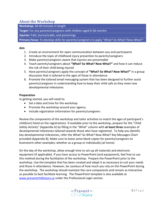#### <span id="page-4-0"></span>**About the Workshop**

**Workshop:** 30-40 minutes in length

**Target:** For any parents/caregivers with children aged 0-36 months

**Injuries:** Falls, burns/scalds, and poisonings

Primary Focus: To develop skills for parents/caregivers to apply "What? So What? Now What?"

#### **Aim**

- 1. Create an environment for open communication between you and participants
- 2. Introduce the topic of childhood injury prevention to parents/caregivers
- 3. Make parents/caregivers aware that injuries are preventable
- 4. Teach parents/caregivers about **"What? So What? Now What?"** and how it can reduce the risk of their child being injured
- 5. Have parents/caregivers apply the concept of **"What? So What? Now What?"** in a group discussion that is tailored to the ages of those in attendance
- 6. Promote the tailored email messaging system that has been designed to further assist parents/caregivers in understanding how to keep their child safe as they meet new developmental milestones

#### **Preparation**

In getting started, you will need to:

- Set a date and time for the workshop
- Promote the workshop around your agency
- Include registration information for parents/caregivers

Review the components of the workshop and tailor activities to match the ages of participant's child(ren) listed on the registrations. If available prior to the workshop, prepare for the "Child Safety Activity" (Appendix A) by filling in the "What" column with **at least three** examples of developmental milestones tailored towards those who have registered. To help you identify key developmental milestones, refer the What? So What? Now What? Key Messages Chart provided (Appendix B). Make sure to leave some blank copies for parents/caregivers to brainstorm other examples; whether as a group or individually (at home).

On the day of the workshop, allow enough time to set-up all materials and electronic equipment (if applicable). If you have access to PowerPoint (and equipment), feel free to use this method during the facilitation of the workshop. Prepare the PowerPoint prior to the workshop. Use the template that has been created and adapt it as necessary to suit your needs and those in attendance. However, be cautious of how much you rely on the PowerPoint during the workshop. The workshop should maintain the core components and remain as interactive as possible to best facilitate learning. The PowerPoint template is also available at [www.preventchildinjury.ca](http://www.preventchildinjury.ca/) under the Professional Login section.

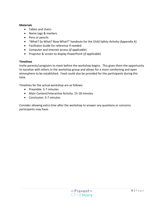#### **Materials**

- Tables and chairs
- Name tags & markers
- Pens or pencils
- "What? So What? Now What?" handouts for the Child Safety Activity (Appendix A)
- Facilitator Guide for reference if needed
- Computer and internet access (*if applicable*)
- Projector & screen to display PowerPoint (*if applicable*)

#### **Timelines**

Invite parents/caregivers to meet before the workshop begins. This gives them the opportunity to socialize with others in the workshop group and allows for a more comforting and open atmosphere to be established. Food could also be provided for the participants during this time.

Timelines for the actual workshop are as follows:

- Preamble: 5-7 minutes
- Main Content/Interactive Activity: 15-18 minutes
- Conclusion: 5-7 minutes

Consider allowing extra time after the workshop to answer any questions or concerns participants may have.

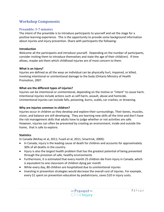# <span id="page-6-0"></span>**Workshop Components**

#### <span id="page-6-1"></span>**Preamble: 5-7 minutes**

The intent of the preamble is to introduce participants to yourself and set the stage for a positive learning experience. This is the opportunity to provide some background information about injuries and injury prevention. Share with participants the following:

#### **Introduction**

Welcome all the participants and introduce yourself. Depending on the number of participants, consider inviting them to introduce themselves and state the age of their child(ren). If time allows, maybe ask them which childhood injuries are of most concern to them.

#### **What is an injury?**

Injuries are defined as all the ways an individual can be physically hurt, impaired, or killed, involving intentional or unintentional damage to the body (Ontario Ministry of Health Promotion, 2007.

#### **What are the different types of injuries?**

Injuries can be intentional or unintentional, depending on the motive or "intent" to cause harm. Intentional injuries include actions such as self-harm, assault, abuse and homicide. Unintentional injuries can include falls, poisoning, burns, scalds, car crashes, or drowning.

#### **Why are injuries common in children?**

Injuries occur in children as they develop and explore their surroundings. Their bones, muscles, vision, and balance are still developing. They are learning new skills all the time and don't have the risk management skills that adults have to judge whether or not activities are safe. However, injuries can often be prevented by creating an environment, inside and outside the home, that is safe to explore.

#### **Statistics**

In Canada (McKay et al, 2011; Fuseli et al, 2011; Smartrisk, 2009):

- In Canada, injury is the leading cause of death for children and accounts for approximately 30% of all deaths in the country
- Injury is also the largest health problem that has the greatest potential of being prevented through the provision of safe, healthy environments
- Furthermore, it is estimated that every month 25 children die from injury in Canada, which is equivalent to one classroom of children dying per month
- While every day, 80 children are hospitalized due to unintentional injuries
- Investing in prevention strategies would decrease the overall cost of injuries. For example, every \$1 spent on prevention education by pediatricians, saves \$10 in injury costs.

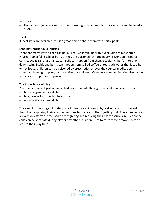In Ontario:

 Household injuries are most common among children zero to four years of age (Peden et al, 2008)

Local

If local stats are available, this is a great time to share them with participants.

#### **Leading Ontario Child Injuries**

There are many ways a child can be injured. Children under five years old are most often injured from a fall, scald or burn, or they are poisoned (Ontario Injury Prevention Resource Centre, 2012; Yanchar et al, 2012). Falls can happen from change tables, cribs, furniture, or down stairs. Scalds and burns can happen from spilled coffee or tea, bath water that is too hot, or hot foods. Children can be poisoned by prescription or over the counter medication, vitamins, cleaning supplies, hand sanitizer, or make-up. Other less common injuries also happen and are also important to prevent.

#### **The importance of play**

Play is an important part of early child development. Through play, children develop their:

- fine and gross motor skills
- language skills through interactions
- social and emotional skills

The aim of promoting child safety is not to reduce children's physical activity or to prevent them from exploring their environment due to the fear of them getting hurt. Therefore, injury prevention efforts are focused on recognizing and reducing the risks for serious injuries so the child can be kept safe during play or any other situation – not to restrict their movements or reduce their play time.

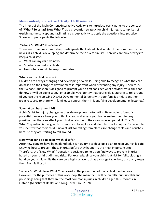#### <span id="page-8-0"></span>**Main Content/Interactive Activity: 15-18 minutes**

The intent of the Main Content/Interactive Activity is to introduce participants to the concept of **"What? So What? Now What?"** as a prevention strategy for child injuries. It comprises of explaining the concept and facilitating a group activity to apply the questions into practice. Share with participants the following:

#### **"What? So What? Now What?"**

These are three questions to help participants think about child safety. It helps us identify the new skills a child is developing and determine their risk for injury. Then we can think of ways to keep a child safe.

- What can my child do now?
- So what can hurt my child?
- Now what can I do to keep them safe?

#### **What can my child do now?**

Children are always changing and developing new skills. Being able to recognize what they can do based on their stage of development is important when preventing any injury. Therefore, the "What?" question is designed to prompt you to first consider what activities your child can do now or will be doing soon. For example, you identify that your child is starting to roll around. (If you use the Nippissing District Developmental Screens with your families, this is another great resource to share with families to support them in identifying developmental milestones.)

#### **So what can hurt my child?**

A child's risk for injury changes as they develop new motor skills. Being able to identify potential dangers allows you to think ahead and assess your home environment for any possible risks that can affect your child in relation to their newly developed skill. The "So What?" question is designed to prompt you to explore and identify risks for injury. For example, you identify that their child is now at risk for falling from places like change tables and couches because they are starting to roll around.

#### **Now what can I do to keep my child safe?**

After new dangers have been identified, it is now time to develop a plan to keep your child safe. Knowing how to prevent these injuries before they happen is the most important step. Therefore, the "Now What?" question is designed to help you find ways to prevent injuries based on your child's skills and risks. For example, since your child is at risk for falls, placing a hand on your child while they are on a high surface such as a change table, bed, or couch, keeps them from falling off.

"What? So What? Now What?" can assist in the prevention of many childhood injuries. However, for the purposes of this workshop, the main focus will be on falls, burns/scalds and poisonings being that they are the most common injuries in children aged 0-36 months in Ontario (Ministry of Health and Long-Term Care, 2009).

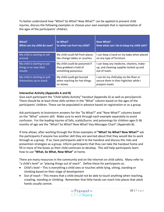To better understand how "What? So What? Now What?" can be applied to prevent child injuries, discuss the following examples or choose your own example that is representative of the ages of the participants' children.

| What?                                                   | So What?                                                                | Now What?                                                                                           |
|---------------------------------------------------------|-------------------------------------------------------------------------|-----------------------------------------------------------------------------------------------------|
| What can my child do now?                               | So what can hurt my child?                                              | Now what can I do to keep my child safe?                                                            |
| My child is starting to roll                            | My child could fall from places                                         | I can keep a hand on my baby when placed                                                            |
| around.                                                 | like change tables or couches.                                          | on any type of furniture.                                                                           |
| My child is starting to put                             | My child could be poisoned if                                           | I can keep any medicine, vitamins, make-                                                            |
| things in or near their                                 | they grabbed a hold of                                                  | up, and cleaning supplies locked up and                                                             |
| mouth.                                                  | something poisonous.                                                    | out of reach.                                                                                       |
| My child is starting to pull<br>themselves up to stand. | My child could get burned<br>when reaching for hot things<br>on stoves. | I can let my child play on the floor or<br>secure them in their highchair while I<br>prepare meals. |

#### **Interactive Activity (Appendix A and B)**

Give each participant the "Child Safety Activity" handout (Appendix A) as well as pens/pencils. There should be at least three skills written in the "What" column based on the ages of the participants' children. These can be populated in advance based on registration or as a group.

Ask participants to brainstorm answers for the "So What?" and "Now What?" columns based on the "What" column skill. Make sure to work through each example separately to avoid confusion. For the leading injuries of falls, scalds/burns, and poisonings for children ages 0-36 months of age see the "What? So What? Now What? Key Messages Chart" (Appendix B).

If time allows, after working through the three examples of **"What? So What? Now What?"** ask the participants if anyone has another skill they are worried about that they would like to work through as a group. If so, have participants add it to the handout and discuss the risks and prevention strategies as a group. Inform participants that they can take the handout home and fill in more of the boxes as their child continues to develop. This will help participants learn how to use **"What, So What, Now What"** at home.

There are many resources in the community and on the internet on child safety. Many refer to "a child's level" or "placing things out of reach". Define these for participants as:

- Child's level This is everything a child sees or touches while lying, sitting, standing or climbing based on their stage of development
- Out of reach This means that a child should not be able to touch anything when reaching, crawling, standing or climbing. Remember that little hands can reach into places that adult hands usually cannot.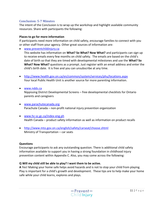#### <span id="page-10-0"></span>**Conclusion: 5-7 Minutes**

The intent of the Conclusion is to wrap up the workshop and highlight available community resources. Share with participants the following:

#### **Places to go for more information**

If participants need more information on child safety, encourage families to connect with you or other staff from your agency. Other great sources of information are:

[www.preventchildinjury.ca](http://www.preventchildinjury.ca/)

This website has information on **What? So What? Now What?** and participants can sign up to receive emails every few months on child safety. The emails are based on the child's date of birth so that they are timed with developmental milestones and use the **What? So What? Now What?** questions as a prompt. Just register with an email address and enter the child's birth date. It is free and you can unsubscribe at any time.

- <http://www.health.gov.on.ca/en/common/system/services/phu/locations.aspx> Your local Public Health Unit is another source for more parenting information.
- [www.ndds.ca](http://www.ndds.ca/) Nippissing District Developmental Screens – free developmental checklists for Ontario parents and caregivers
- [www.parachutecanada.org](http://www.parachutecanada.org/) Parachute Canada – non-profit national injury prevention organization
- [www.hc-sc.gc.ca/index-eng.ph](http://www.hc-sc.gc.ca/index-eng.ph) Health Canada – product safety information as well as information on product recalls
- <http://www.mto.gov.on.ca/english/safety/carseat/choose.shtml> Ministry of Transportation – car seats

#### **Questions**

Encourage participants to ask any outstanding question. There is additional child safety information available to support you in having a strong foundation in childhood injury prevention content within Appendix C. Also, you may come across the following:

#### **Q Will my child still be able to play? I want them to be active.**

**A** Yes! Making your home safe helps avoid hazards and is not to stop your child from playing. Play is important for a child's growth and development. These tips are to help make your home safe while your child learns, explores and plays.

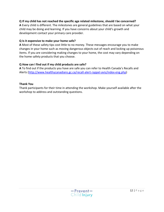#### **Q If my child has not reached the specific age related milestone, should I be concerned?**

**A** Every child is different. The milestones are general guidelines that are based on what your child may be doing and learning. If you have concerns about your child's growth and development contact your primary care provider.

#### **Q Is it expensive to make your home safe?**

**A** Most of these safety tips cost little to no money. These messages encourage you to make changes in your home such as moving dangerous objects out of reach and locking up poisonous items. If you are considering making changes to your home, the cost may vary depending on the home safety products that you choose.

#### **Q How can I find out if my child products are safe?**

**A** To find out if the products you have are safe you can refer to Health Canada's Recalls and Alerts [\(http://www.healthycanadians.gc.ca/recall-alert-rappel-avis/index-eng.php\)](http://www.healthycanadians.gc.ca/recall-alert-rappel-avis/index-eng.php)

#### **Thank You**

Thank participants for their time in attending the workshop. Make yourself available after the workshop to address and outstanding questions.

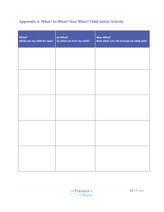# <span id="page-12-0"></span>**Appendix A: What? So What? Now What? Child Safety Activity**

| What?<br>What can my child do now? | So What?<br>So what can hurt my child? | <b>Now What?</b><br>Now what can I do to keep my child safe? |
|------------------------------------|----------------------------------------|--------------------------------------------------------------|
|                                    |                                        |                                                              |
|                                    |                                        |                                                              |
|                                    |                                        |                                                              |
|                                    |                                        |                                                              |
|                                    |                                        |                                                              |
|                                    |                                        |                                                              |
|                                    |                                        |                                                              |
|                                    |                                        |                                                              |

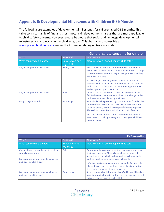# <span id="page-13-0"></span>**Appendix B: Developmental Milestones with Children 0-36 Months**

The following are examples of developmental milestones for children aged 0-36 months. This table consists mainly of fine and gross motor skill developments; areas that are most applicable to child safety concerns. However, please be aware that social and language developmental milestones are also occurring as children grow. This chart is also accessible at [www.preventchildinjury.ca](http://www.preventchildinjury.ca/) under the Professionals Login, Resources tab.

|                             |                               | General safety concerns for children                                                                                                                                                                                                  |
|-----------------------------|-------------------------------|---------------------------------------------------------------------------------------------------------------------------------------------------------------------------------------------------------------------------------------|
| What?                       | So What?                      | Now What?                                                                                                                                                                                                                             |
| What can my child do now?   | So what can hurt<br>my child? | Now What can I do to keep my child safe?                                                                                                                                                                                              |
| Any developmental milestone | <b>Burns/Scalds</b>           | Place smoke alarms and carbon monoxide detectors on<br>every level of the home and outside all bedrooms. Change<br>batteries twice a year at daylight saving time so that they<br>are always working.                                 |
|                             |                               | A child can get third degree burns from hot water in<br>seconds. Reduce tap water temperature on the hot water<br>tank to 49°C (120°F). It will still be hot enough to shower<br>and will protect your child's skin.                  |
| Any developmental milestone | Falls                         | Children can use furniture to climb out the window and<br>fall. Make sure that furniture such as cribs, change tables,<br>or dressers are not placed by a window.                                                                     |
| Bring things to mouth       | <b>Poisonings</b>             | Your child can be poisoned by common items found in the<br>home such as prescriptions, over the counter medicines,<br>vitamins, plants, alcohol, makeup and cleaning supplies.<br>Always keep these items locked up and out of reach. |
|                             |                               | Post the Ontario Poison Center number by the phone: 1-<br>800-268-9017. Call right away if you think your child has<br>been poisoned.                                                                                                 |

|                                                                                                     |                               | 0-2 months                                                                                                                                                                                                                 |
|-----------------------------------------------------------------------------------------------------|-------------------------------|----------------------------------------------------------------------------------------------------------------------------------------------------------------------------------------------------------------------------|
| What?                                                                                               | So What?                      | Now What?                                                                                                                                                                                                                  |
| What can my child do now?                                                                           | So what can hurt<br>my child? | Now What can I do to keep my child safe?                                                                                                                                                                                   |
| Can hold head up and begins to push up<br>when lying on tummy<br>Makes smoother movements with arms | Falls                         | Before your baby can roll over they can wiggle and move<br>their arms and legs. Always keep a hand on your baby<br>when they are on a high surface such as a change table,<br>bed, or couch to keep them from falling off. |
| and legs (e.g., kicks legs)                                                                         |                               | Infant car seats are unsteady and can easily fall from high<br>places. Place them on the floor (safest place) and not on<br>the counter, table or other high places.                                                       |
| Makes smoother movements with arms<br>and legs (e.g., kicks legs)                                   | <b>Burns/Scalds</b>           | A hot drink can badly burn your baby's skin. Avoid holding<br>your baby and a hot drink at the same time, or put the hot<br>drink in a travel mug with a tight lid.                                                        |

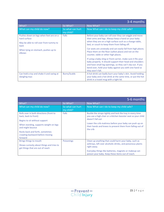|                                                           |                               | 3-4 months                                                                                                                                                                                                                                                               |
|-----------------------------------------------------------|-------------------------------|--------------------------------------------------------------------------------------------------------------------------------------------------------------------------------------------------------------------------------------------------------------------------|
| What?                                                     | So What?                      | Now What?                                                                                                                                                                                                                                                                |
| What can my child do now?                                 | So what can hurt<br>my child? | Now What can I do to keep my child safe?                                                                                                                                                                                                                                 |
| Pushes down on legs when feet are on a<br>hard surface    | Falls                         | Before your baby can roll over they can wiggle and move<br>their arms and legs. Always keep a hand on your baby                                                                                                                                                          |
| May be able to roll over from tummy to<br>back            |                               | when they are on a high surface such as a change table,<br>bed, or couch to keep them from falling off.                                                                                                                                                                  |
| When lying on stomach, pushes up to<br>elbows             |                               | Car seats are unsteady and can easily fall from high places.<br>Place them on the floor (safest place) and not on the<br>counter, table or other high places.                                                                                                            |
|                                                           |                               | If using a baby sling or front carrier, make sure it fits your<br>baby properly. It should support their head and shoulders<br>and have small leg openings, so they can't slip out. If you<br>bend over, hold your baby against you with one hand so<br>they won't fall. |
| Can hold a toy and shake it and swing at<br>dangling toys | <b>Burns/Scalds</b>           | A hot drink can badly burn your baby's skin. Avoid holding<br>your baby and a hot drink at the same time, or put the hot<br>drink in a travel mug with a tight lid.                                                                                                      |

|                                                                                                         |                               | 5-6 months                                                                                                                                    |
|---------------------------------------------------------------------------------------------------------|-------------------------------|-----------------------------------------------------------------------------------------------------------------------------------------------|
| What?                                                                                                   | So What?                      | Now What?                                                                                                                                     |
| What can my child do now?                                                                               | So what can hurt<br>my child? | Now What can I do to keep my child safe?                                                                                                      |
| Rolls over in both directions (front to<br>back, back to front)<br>Begins to sit without support        | <b>Falls</b>                  | Buckle the straps tightly and lock the tray in every time<br>you use a high chair or a kitchen booster seat so your child<br>doesn't fall out |
| When standing, supports weight on legs<br>and might bounce                                              |                               | Lower the crib mattress before your baby can push up on<br>their hands and knees to prevent them from falling out of<br>the crib              |
| Rocks back and forth, sometimes<br>crawling backward before moving<br>forward                           |                               |                                                                                                                                               |
| Brings things to mouth<br>Shows curiosity about things and tries to<br>get things that are out of reach | <b>Poisonings</b>             | Clean up anything that could harm your baby, such as<br>ashtrays, left over alcoholic drinks, and poisonous plants<br>right away.             |
|                                                                                                         |                               | Everyday things like batteries, magnets or makeup can<br>poison your baby. Keep these items out of reach.                                     |

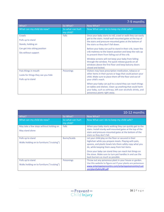|                                    |                               | 7-9 months                                                                                                                                                                                                           |
|------------------------------------|-------------------------------|----------------------------------------------------------------------------------------------------------------------------------------------------------------------------------------------------------------------|
| What?                              | So What?                      | Now What?                                                                                                                                                                                                            |
| What can my child do now?          | So what can hurt<br>my child? | Now What can I do to keep my child safe?                                                                                                                                                                             |
| Crawls                             | Falls                         | Once your baby starts to roll, crawl or walk they can easily                                                                                                                                                         |
| Pulls up to stand                  |                               | get to the stairs. Install wall-mounted gates at the top of<br>the stairs and pressure-mounted gates at the bottom of                                                                                                |
| Stands, holding on                 |                               | the stairs so they don't fall down.                                                                                                                                                                                  |
| Can get into sitting position      |                               | Before your baby can pull to stand in their crib, lower the                                                                                                                                                          |
| Sits without support               |                               | crib mattress to the lowest position and keep the rails up<br>to prevent them from falling out of the crib.                                                                                                          |
|                                    |                               | Window screens will not keep your baby from falling<br>through the window. Put quick release guards on all<br>windows above the first floor and keep balcony doors<br>closed and locked.                             |
| Puts things in mouth               | Poisonings                    | Visitors may have prescription medication, tobacco or<br>other items in their purses or bags that could poison your                                                                                                  |
| Looks for things they see you hide |                               | child. Make sure to place them off the floor and out of                                                                                                                                                              |
| Pulls up to stand                  |                               | your child's reach.                                                                                                                                                                                                  |
|                                    |                               | When your baby can pull to a stand they can reach things<br>on tables and shelves. Clean up anything that could harm<br>your baby, such as ashtrays, left over alcoholic drinks, and<br>poisonous plants right away. |

|                                                                 |                               | 10-12 months                                                                                                                                                                                                             |
|-----------------------------------------------------------------|-------------------------------|--------------------------------------------------------------------------------------------------------------------------------------------------------------------------------------------------------------------------|
| What?                                                           | So What?                      | Now What?                                                                                                                                                                                                                |
| What can my child do now?                                       | So what can hurt<br>my child? | Now What can I do to keep my child safe?                                                                                                                                                                                 |
| May take a few steps without holding on<br>May stand alone      | Falls                         | When your baby starts walking they can quickly get to the<br>stairs. Install sturdy wall-mounted gates at the top of the<br>stairs and pressure-mounted gates at the bottom of the<br>stairs so they don't fall.         |
| Pulls up to stand<br>Walks holding on to furniture ("cruising") | <b>Burns/Scalds</b>           | Let your child play on the floor or secured in their<br>highchair while you prepare meals. Playing with pots,<br>spoons, and plastic bowls lets them safely copy what you<br>do, while keeping them away from hot items. |
|                                                                 |                               | Once your baby can stand they can reach hot things on<br>the stove. Make sure to turn pot handles in and use the<br>back burners as much as possible.                                                                    |
| Pulls up to stand<br>Walks holding on to furniture ("cruising") | <b>Poisonings</b>             | Throw out any poisonous plant in your house or garden.<br>Use this website to figure out if your plants are poisonous:<br>www.ontariopoisoncentre.com/ontariopoisoncentre/cust<br>om/plantSafety08.pdf                   |

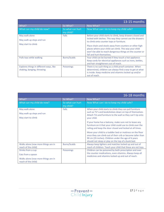|                                                                       |                               | 13-15 months                                                                                                                                                                                                                                                                                                                                                                        |
|-----------------------------------------------------------------------|-------------------------------|-------------------------------------------------------------------------------------------------------------------------------------------------------------------------------------------------------------------------------------------------------------------------------------------------------------------------------------------------------------------------------------|
| What?                                                                 | So What?                      | Now What?                                                                                                                                                                                                                                                                                                                                                                           |
| What can my child do now?                                             | So what can hurt<br>my child? | Now What can I do to keep my child safe?                                                                                                                                                                                                                                                                                                                                            |
| May walk alone<br>May walk up steps and run<br>May start to climb     | Falls                         | Before your child starts to climb, keep drawers closed and<br>locked with latches. This way they cannot use the drawers<br>to climb onto counter tops or furniture.<br>Place chairs and stools away from counters or other high<br>places where your child can climb. This way your child<br>won't be able to reach dangerous things on the counter or<br>fall and hurt themselves. |
| Pulls toys while walking                                              | <b>Burns/Scalds</b>           | Your child can be burned if they touch a hot appliance.<br>Keep cords for electrical appliances such as irons, kettles,<br>and hair straighteners out of reach.                                                                                                                                                                                                                     |
| Explores things in different ways, like<br>shaking, banging, throwing | <b>Poisonings</b>             | There is no such thing as a child proof container. When<br>determined, children can always find a way to get at what<br>is inside. Keep medicine and vitamins locked up and/or<br>out of reach.                                                                                                                                                                                     |

|                                     |                               | 16-18 months                                                                                                                                                                                                                           |
|-------------------------------------|-------------------------------|----------------------------------------------------------------------------------------------------------------------------------------------------------------------------------------------------------------------------------------|
| What?                               | So What?                      | Now What?                                                                                                                                                                                                                              |
| What can my child do now?           | So what can hurt<br>my child? | Now What can I do to keep my child safe?                                                                                                                                                                                               |
| May walk alone                      | Falls                         | When your child starts to climb they can pull furniture                                                                                                                                                                                |
| May walk up steps and run           |                               | such as TV's and bookshelves down on top of themselves.<br>Attach TVs and furniture to the wall so they can't tip onto                                                                                                                 |
| May start to climb                  |                               | vour child.                                                                                                                                                                                                                            |
|                                     |                               | If your home has a balcony, make sure not to leave any<br>furniture on it that your child could use to climb over the<br>railing and keep the door closed and locked at all times.                                                     |
|                                     |                               | Move your child to a toddler bed or mattress on the floor<br>once they can climb out of their crib or become taller than<br>90 cm (35 inches). Children under the age of 6 years<br>should not sleep or play on the top of a bunk bed. |
| Walks alone (now more things are in | <b>Burns/Scalds</b>           | Always keep lighters and matches locked up and out of                                                                                                                                                                                  |
| reach of the child)                 |                               | reach of children. Teach your child that these are not toys.                                                                                                                                                                           |
| Drinks from a cup                   | <b>Poisonings</b>             | Children can be poisoned by both prescription and over                                                                                                                                                                                 |
| Eats from a spoon                   |                               | the counter medications, even vitamins. Always keep all<br>medicines and vitamins locked up and out of reach.                                                                                                                          |
| Walks alone (now more things are in |                               |                                                                                                                                                                                                                                        |
| reach of the child)                 |                               |                                                                                                                                                                                                                                        |

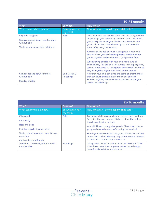|                                                                                                                  |                                    | 19-24 months                                                                                                                                                                                                                                                                                                                                                                                                                                                                                                                                                                                                                                  |
|------------------------------------------------------------------------------------------------------------------|------------------------------------|-----------------------------------------------------------------------------------------------------------------------------------------------------------------------------------------------------------------------------------------------------------------------------------------------------------------------------------------------------------------------------------------------------------------------------------------------------------------------------------------------------------------------------------------------------------------------------------------------------------------------------------------------|
| What?                                                                                                            | So What?                           | Now What?                                                                                                                                                                                                                                                                                                                                                                                                                                                                                                                                                                                                                                     |
| What can my child do now?                                                                                        | So what can hurt<br>my child?      | Now What can I do to keep my child safe?                                                                                                                                                                                                                                                                                                                                                                                                                                                                                                                                                                                                      |
| Begins to run/jump<br>Climbs onto and down from furniture<br>without help<br>Walks up and down stairs holding on | Falls                              | Once your child can open or climb over the stair gate it no<br>longer keeps your child away from the stairs. Take down<br>your baby gates when your child is approximately two<br>years old and teach them how to go up and down the<br>stairs safely using the handrail.<br>Jumping on the bed or couch is dangerous if your child<br>falls off. Once your child starts jumping create fun floor<br>games together and teach them to jump on the floor.<br>When playing outside with your child make sure all<br>personal play sets are on a soft surface such as pea gravel,<br>sand or wood chips. It is dangerous for children under 5 to |
| Climbs onto and down furniture<br>without help<br>Stands on tiptoe                                               | Burns/Scalds/<br><b>Poisonings</b> | play on anything higher than 5 feet off the ground.<br>Now that your child can climb and stand on their tip toes,<br>they can touch things that used to be out of reach.<br>Remove anything that could burn, choke or poison your<br>child or lock them up.                                                                                                                                                                                                                                                                                                                                                                                   |

|                                                    |                               | 25-36 months                                                                                                            |
|----------------------------------------------------|-------------------------------|-------------------------------------------------------------------------------------------------------------------------|
| What?                                              | So What?                      | Now What?                                                                                                               |
| What can my child do now?                          | So what can hurt<br>my child? | Now What can I do to keep my child safe?                                                                                |
| Climbs well                                        | <b>Falls</b>                  | Teach your child to wear a helmet to keep their head safe.                                                              |
| Runs easily                                        |                               | Put a fitted helmet on your child every time they ride a<br>tricycle, go sledding or skate.                             |
| Hops and skips                                     |                               | Your child loves to copy what you do. Show them how to                                                                  |
| Pedals a tricycle (3-wheel bike)                   |                               | go up and down the stairs safely using the handrail.                                                                    |
| Walks up and down stairs, one foot on<br>each step |                               | Before your child starts to climb, keep drawers closed and<br>locked with latches. This way they cannot use the drawers |
|                                                    |                               | to climb onto counter tops or furniture.                                                                                |
| Copies adults and friends                          |                               |                                                                                                                         |
| Screws and unscrews jar lids or turns              | <b>Poisonings</b>             | Calling medicine and vitamins candy can make your child                                                                 |
| door handles                                       |                               | think they can eat them anytime. Instead, use the right                                                                 |
|                                                    |                               | name for all medicines and vitamins.                                                                                    |

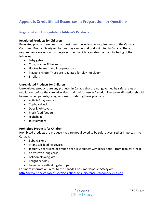# <span id="page-18-0"></span>**Appendix C: Additional Resources in Preparation for Questions**

#### <span id="page-18-1"></span>**Regulated and Unregulated Children's Products**

#### **Regulated Products for Children**

Regulated products are ones that must meet the legislative requirements of the Canada Consumer Product Safety Act before they can be sold or distributed in Canada. These requirements are set out by the government which regulates the manufacturing of the following:

- Baby gates
- Cribs, cradles & basinets
- Hockey helmets and face protectors
- Playpens (Note: These are regulated for play not sleep)
- Strollers

#### **Unregulated Products for Children**

Unregulated products are any products in Canada that are not governed by safety rules or regulations before they are advertised and sold for use in Canada. Therefore, discretion should be used when parents/caregivers are considering these products:

- Activity/play centres
- Cupboard locks
- Door knob covers
- Fresh food feeders
- Highchairs
- Jolly jumpers

#### **Prohibited Products for Children**

Prohibited products are products that are not allowed to be sold, advertised or imported into Canada.

- Baby walkers
- Infant self-feeding devices
- Jequirity beans (red or orange bead-like objects with black ends from tropical areas)
- Yo-yos with long cords
- Balloon blowing kits
- Relight candles
- Lawn darts with elongated tips

For more information, refer to the Canada Consumer Product Safety Act.

<http://www.hc-sc.gc.ca/cps-spc/legislation/acts-lois/ccpsa-lcspc/index-eng.php>

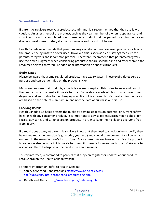#### <span id="page-19-0"></span>**Second-Hand Products**

If parents/caregivers receive a product second-hand, it is recommended that they use it with caution. An assessment of the product, such as the year, number of owners, appearance, and sturdiness should be completed prior to use. Any product that has passed its expiration date or does not meet current safety standards is unsafe and should not be used.

Health Canada recommends that parents/caregivers do not purchase used products for fear of the product being unsafe or over-used. However, this is seen as a cost-savings measure for parents/caregivers and is common practice. Therefore, recommend that parents/caregivers use their own judgment when considering products that are second-hand and refer them to the resources below if they require additional information on specific products.

#### **Expiry Dates**

Please be aware that some regulated products have expiry dates. These expiry dates serve a purpose and can be identified on the product sticker.

Many are unaware that products, especially car seats, expire. This is due to wear and tear of the product which can make it unsafe for use. Car seats are made of plastic, which over time degrades and warps due to the changing conditions it is exposed to. Car seat expiration dates are based on the date of manufacture and not the date of purchase or first use.

#### **Checking Recalls**

Health Canada also helps protect the public by posting updates on potential or current safety hazards with any consumer product. It is important to advise parents/caregivers to check for recalls, advisories and safety alerts on products in order to keep their child and everyone free from injury.

If a recall does occur, let parents/caregivers know that they need to check online to verify they have the product in question (e.g., model, year, etc.) and should then proceed to follow what is outlined in the manufacturer's instructions. Advise parents/caregivers not to give the product to someone else because if it is unsafe for them, it is unsafe for everyone to use. Make sure to also advise them to dispose of the product in a safe manner.

To stay informed, recommend to parents that they can register for updates about product recalls through the Health Canada website.

For more information, refer to Health Canada:

- Safety of Second Hand Products [http://www.hc-sc.gc.ca/cps](http://www.hc-sc.gc.ca/cps-spc/pubs/cons/info_secondhand-produits-eng.php)[spc/pubs/cons/info\\_secondhand-produits-eng.php](http://www.hc-sc.gc.ca/cps-spc/pubs/cons/info_secondhand-produits-eng.php)
- Recalls and Alerts<http://www.hc-sc.gc.ca/index-eng.php>

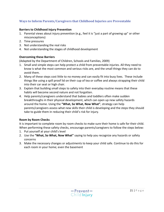#### <span id="page-20-0"></span>**Ways to Inform Parents/Caregivers that Childhood Injuries are Preventable**

#### **Barriers to Childhood Injury Prevention**

- 1. Parental views about injury prevention (e.g., feel it is "just a part of growing up" or other misconceptions)
- 2. Time pressures
- 3. Not understanding the real risks
- 4. Not understanding the stages of childhood development

#### **Overcoming these Barriers**

(Adapted by the Department of Children, Schools and Families, 2009)

- 1. Small and simple steps can help protect a child from preventable injuries. All they need to know is what the most common and serious risks are, and the small things they can do to avoid them.
- 2. Many of these steps cost little to no money and can easily fit into busy lives. These include things like using a spill proof lid on their cup of tea or coffee and always strapping their child into their car seat or high chair.
- 3. Explain that building small steps to safety into their everyday routine means that these habits will become second nature and not forgotten.
- 4. Help parents/caregivers understand that babies and toddlers often make sudden breakthroughs in their physical development, which can open up new safety hazards around the home. Using the **"What, So What, Now What"**, strategy can help parents/caregivers assess what new skills their child is developing and the steps they should take to guide them in reducing their child's risk for injury.

#### **Room by Room Checks**

It is important to complete room by room checks to make sure their home is safe for their child. When performing these safety checks, encourage parents/caregivers to follow the steps below:

- 1. Put yourself at your child's level
- 2. Use the **"What, So What, Now What"** saying to help you recognize any hazards or safety concerns
- 3. Make the necessary changes or adjustments to keep your child safe. Continue to do this for each room in your home; even the basement